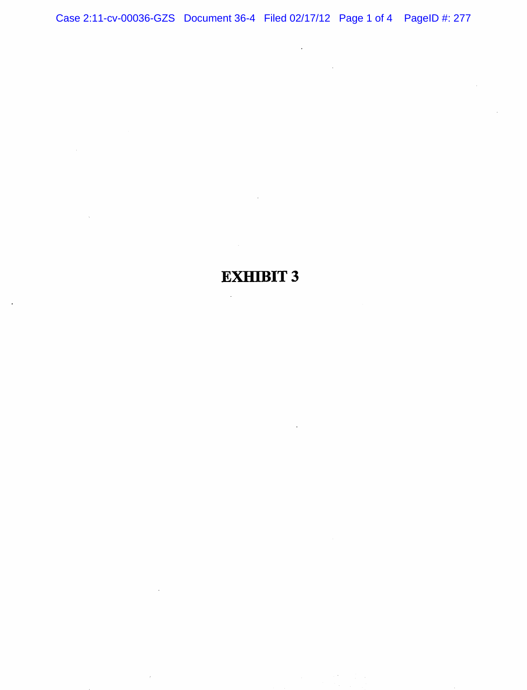$\mathcal{A}^{\text{max}}_{\text{max}}$ 

 $\mathcal{L}^{\text{max}}_{\text{max}}$  , where  $\mathcal{L}^{\text{max}}_{\text{max}}$ 

EXHIBIT 3

 $\sim$   $\sim$ 

 $\sim$ 

 $\sim 10^{11}$ 

 $\mathcal{A}^{(1)}$ 

 $\mathcal{L}^{\mathcal{L}}(\mathcal{L}^{\mathcal{L}})$  and  $\mathcal{L}^{\mathcal{L}}(\mathcal{L}^{\mathcal{L}})$  and  $\mathcal{L}^{\mathcal{L}}(\mathcal{L}^{\mathcal{L}})$ 

 $\mathcal{L}^{\text{max}}_{\text{max}}$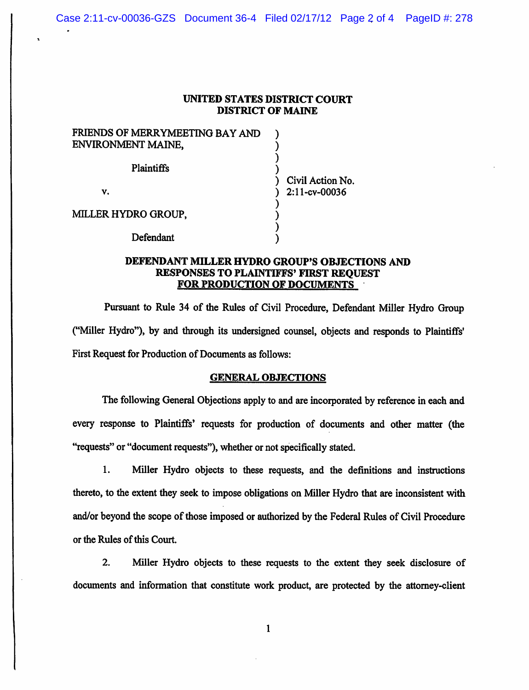## UNITED STATES DISTRICT COURT DISTRICT OF MAINE

| FRIENDS OF MERRYMEETING BAY AND |                  |
|---------------------------------|------------------|
| ENVIRONMENT MAINE,              |                  |
| Plaintiffs                      |                  |
|                                 | Civil Action No. |
| v.                              | 2:11-cv-00036    |
|                                 |                  |
| MILLER HYDRO GROUP,             |                  |
|                                 |                  |
| Defendant                       |                  |

## DEFENDANT MILLER HYDRO GROUP'S OBJECTIONS AND RESPONSES TO PLAINTIFFS' FIRST REQUEST FOR PRODUCTION OF DOCUMENTS

Pursuant to Rule 34 of the Rules of Civil Procedure, Defendant Miller Hydro Group ("Miller Hydro"), by and through its undersigned counsel, objects and responds to Plaintiffs' First Request for Production of Documents as follows;

## GENERAL OBJECTIONS

The following General Objections apply to and are incorporated by reference in each and every response to Plaintiffs' requests for production of documents and other matter (the "requests" or "document requests"), whether or not specifically stated.

1. Miller Hydro objects to these requests, and the definitions and instructions thereto, to the extent they seek to impose obligations on Miller Hydro that are inconsistent with and/or beyond the scope of those imposed or authorized by the Federal Rules of Civil Procedure or the Rules of this Court.

2. Miller Hydro objects to these requests to the extent they seek disclosure of documents and information that constitute work product, are protected by the attorney-client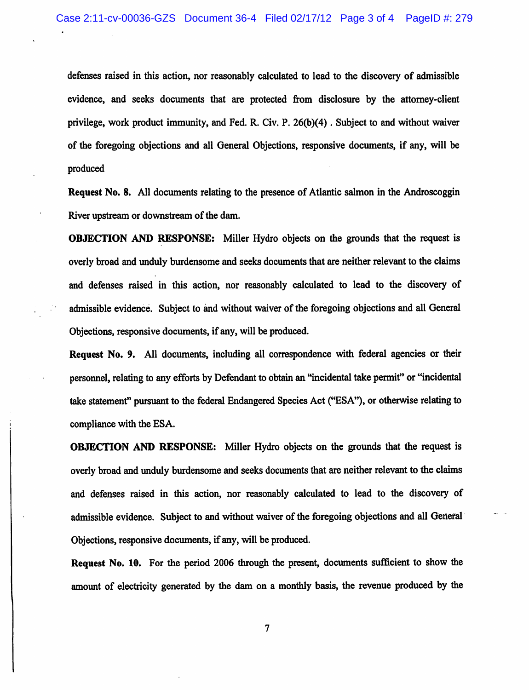defenses raised in this action, nor reasonably calculated to lead to the discovery of admissible evidence, and seeks documents that are protected from disclosure by the attorney-client privilege, work product immunity, and Fed. R. Civ. P. 26(b)(4). Subject to and without waiver of the foregoing objections and all General Objections, responsive documents, if any, will be produced

Request No. 8. All documents relating to the presence of Atlantic salmon in the Androscoggin River upstream or downstream of the dam.

OBJECTION AND RESPONSE: Miller Hydro objects on the grounds that the request is overly broad and unduly burdensome and seeks documents that are neither relevant to the claims and defenses raised in this action, nor reasonably calculated to lead to the discovery of admissible evidence. Subject to and without waiver of the foregoing objections and all General Objections, responsive documents, if any, will be produced.

Request No. 9. All documents, including all correspondence with federal agencies or their personnel, relating to any efforts by Defendant to obtain an "incidental take permit" or "incidental take statement" pursuant to the federal Endangered Species Act ("ESA"), or otherwise relating to compliance with the ESA.

OBJECTION AND RESPONSE: Miller Hydro objects on the grounds that the request is overly broad and unduly burdensome and seeks documents that are neither relevant to the claims and defenses raised in this action, nor reasonably calculated to lead to the discovery of admissible evidence. Subject to and without waiver of the foregoing objections and all General Objections, responsive documents, if any, will be produced.

Request No. 10. For the period 2006 through the present, documents sufficient to show the amount of electricity generated by the dam on a monthly basis, the revenue produced by the

 $\overline{\mathcal{L}}$